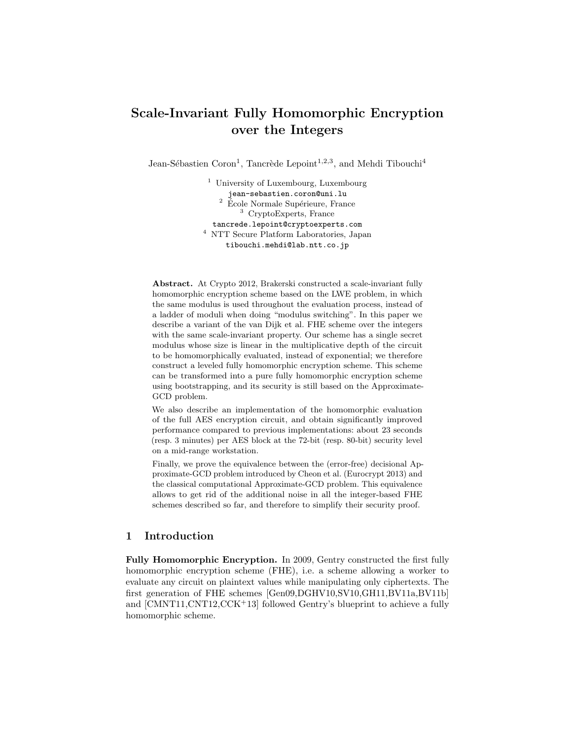# Scale-Invariant Fully Homomorphic Encryption over the Integers

Jean-Sébastien Coron<sup>1</sup>, Tancrède Lepoint<sup>1,2,3</sup>, and Mehdi Tibouchi<sup>4</sup>

<sup>1</sup> University of Luxembourg, Luxembourg jean-sebastien.coron@uni.lu  $2 \text{ École Normale Supérieure, France}$ <sup>3</sup> CryptoExperts, France tancrede.lepoint@cryptoexperts.com <sup>4</sup> NTT Secure Platform Laboratories, Japan tibouchi.mehdi@lab.ntt.co.jp

Abstract. At Crypto 2012, Brakerski constructed a scale-invariant fully homomorphic encryption scheme based on the LWE problem, in which the same modulus is used throughout the evaluation process, instead of a ladder of moduli when doing "modulus switching". In this paper we describe a variant of the van Dijk et al. FHE scheme over the integers with the same scale-invariant property. Our scheme has a single secret modulus whose size is linear in the multiplicative depth of the circuit to be homomorphically evaluated, instead of exponential; we therefore construct a leveled fully homomorphic encryption scheme. This scheme can be transformed into a pure fully homomorphic encryption scheme using bootstrapping, and its security is still based on the Approximate-GCD problem.

We also describe an implementation of the homomorphic evaluation of the full AES encryption circuit, and obtain significantly improved performance compared to previous implementations: about 23 seconds (resp. 3 minutes) per AES block at the 72-bit (resp. 80-bit) security level on a mid-range workstation.

Finally, we prove the equivalence between the (error-free) decisional Approximate-GCD problem introduced by Cheon et al. (Eurocrypt 2013) and the classical computational Approximate-GCD problem. This equivalence allows to get rid of the additional noise in all the integer-based FHE schemes described so far, and therefore to simplify their security proof.

# 1 Introduction

Fully Homomorphic Encryption. In 2009, Gentry constructed the first fully homomorphic encryption scheme (FHE), i.e. a scheme allowing a worker to evaluate any circuit on plaintext values while manipulating only ciphertexts. The first generation of FHE schemes [Gen09,DGHV10,SV10,GH11,BV11a,BV11b] and [CMNT11,CNT12,CCK<sup>+</sup>13] followed Gentry's blueprint to achieve a fully homomorphic scheme.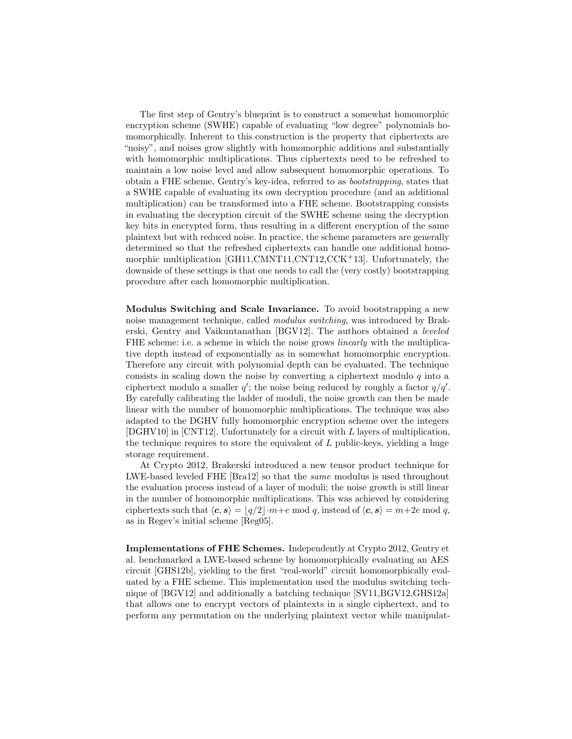The first step of Gentry's blueprint is to construct a somewhat homomorphic encryption scheme (SWHE) capable of evaluating "low degree" polynomials homomorphically. Inherent to this construction is the property that ciphertexts are "noisy", and noises grow slightly with homomorphic additions and substantially with homomorphic multiplications. Thus ciphertexts need to be refreshed to maintain a low noise level and allow subsequent homomorphic operations. To obtain a FHE scheme, Gentry's key-idea, referred to as bootstrapping, states that a SWHE capable of evaluating its own decryption procedure (and an additional multiplication) can be transformed into a FHE scheme. Bootstrapping consists in evaluating the decryption circuit of the SWHE scheme using the decryption key bits in encrypted form, thus resulting in a different encryption of the same plaintext but with reduced noise. In practice, the scheme parameters are generally determined so that the refreshed ciphertexts can handle one additional homomorphic multiplication [GH11,CMNT11,CNT12,CCK<sup>+</sup>13]. Unfortunately, the downside of these settings is that one needs to call the (very costly) bootstrapping procedure after each homomorphic multiplication.

Modulus Switching and Scale Invariance. To avoid bootstrapping a new noise management technique, called modulus switching, was introduced by Brakerski, Gentry and Vaikuntanathan [BGV12]. The authors obtained a leveled FHE scheme: i.e. a scheme in which the noise grows *linearly* with the multiplicative depth instead of exponentially as in somewhat homomorphic encryption. Therefore any circuit with polynomial depth can be evaluated. The technique consists in scaling down the noise by converting a ciphertext modulo  $q$  into a ciphertext modulo a smaller  $q'$ ; the noise being reduced by roughly a factor  $q/q'$ . By carefully calibrating the ladder of moduli, the noise growth can then be made linear with the number of homomorphic multiplications. The technique was also adapted to the DGHV fully homomorphic encryption scheme over the integers [DGHV10] in [CNT12]. Unfortunately for a circuit with L layers of multiplication, the technique requires to store the equivalent of  $L$  public-keys, yielding a huge storage requirement.

At Crypto 2012, Brakerski introduced a new tensor product technique for LWE-based leveled FHE [Bra12] so that the same modulus is used throughout the evaluation process instead of a layer of moduli; the noise growth is still linear in the number of homomorphic multiplications. This was achieved by considering ciphertexts such that  $\langle c, s \rangle = |q/2| \cdot m + e \mod q$ , instead of  $\langle c, s \rangle = m+2e \mod q$ , as in Regev's initial scheme [Reg05].

Implementations of FHE Schemes. Independently at Crypto 2012, Gentry et al. benchmarked a LWE-based scheme by homomorphically evaluating an AES circuit [GHS12b], yielding to the first "real-world" circuit homomorphically evaluated by a FHE scheme. This implementation used the modulus switching technique of [BGV12] and additionally a batching technique [SV11,BGV12,GHS12a] that allows one to encrypt vectors of plaintexts in a single ciphertext, and to perform any permutation on the underlying plaintext vector while manipulat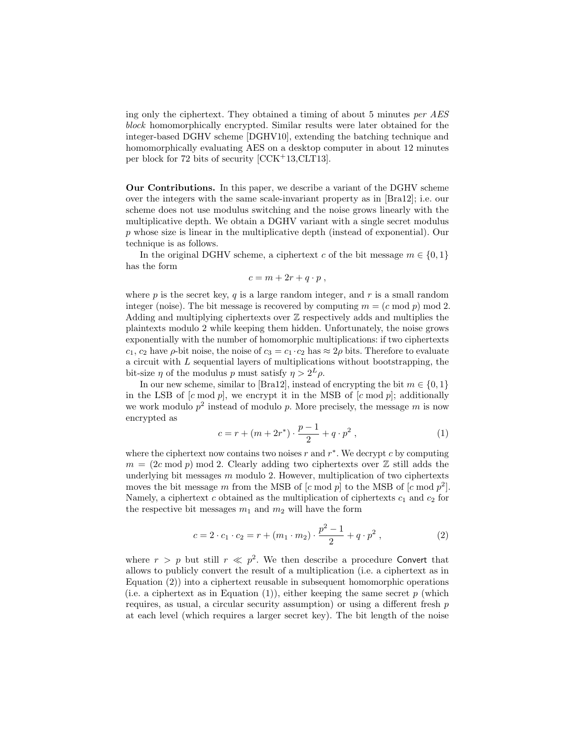ing only the ciphertext. They obtained a timing of about 5 minutes per AES block homomorphically encrypted. Similar results were later obtained for the integer-based DGHV scheme [DGHV10], extending the batching technique and homomorphically evaluating AES on a desktop computer in about 12 minutes per block for 72 bits of security [CCK+13,CLT13].

Our Contributions. In this paper, we describe a variant of the DGHV scheme over the integers with the same scale-invariant property as in [Bra12]; i.e. our scheme does not use modulus switching and the noise grows linearly with the multiplicative depth. We obtain a DGHV variant with a single secret modulus p whose size is linear in the multiplicative depth (instead of exponential). Our technique is as follows.

In the original DGHV scheme, a ciphertext c of the bit message  $m \in \{0, 1\}$ has the form

$$
c = m + 2r + q \cdot p \; ,
$$

where p is the secret key, q is a large random integer, and r is a small random integer (noise). The bit message is recovered by computing  $m = (c \mod p) \mod 2$ . Adding and multiplying ciphertexts over  $\mathbb Z$  respectively adds and multiplies the plaintexts modulo 2 while keeping them hidden. Unfortunately, the noise grows exponentially with the number of homomorphic multiplications: if two ciphertexts  $c_1, c_2$  have  $\rho$ -bit noise, the noise of  $c_3 = c_1 \cdot c_2$  has  $\approx 2\rho$  bits. Therefore to evaluate a circuit with L sequential layers of multiplications without bootstrapping, the bit-size  $\eta$  of the modulus p must satisfy  $\eta > 2^L \rho$ .

In our new scheme, similar to [Bra12], instead of encrypting the bit  $m \in \{0, 1\}$ in the LSB of  $[c \mod p]$ , we encrypt it in the MSB of  $[c \mod p]$ ; additionally we work modulo  $p^2$  instead of modulo p. More precisely, the message m is now encrypted as

$$
c = r + (m + 2r^*) \cdot \frac{p-1}{2} + q \cdot p^2 , \qquad (1)
$$

where the ciphertext now contains two noises  $r$  and  $r^*$ . We decrypt  $c$  by computing  $m = (2c \mod p) \mod 2$ . Clearly adding two ciphertexts over  $\mathbb Z$  still adds the underlying bit messages  $m$  modulo 2. However, multiplication of two ciphertexts moves the bit message m from the MSB of  $[c \mod p]$  to the MSB of  $[c \mod p^2]$ . Namely, a ciphertext c obtained as the multiplication of ciphertexts  $c_1$  and  $c_2$  for the respective bit messages  $m_1$  and  $m_2$  will have the form

$$
c = 2 \cdot c_1 \cdot c_2 = r + (m_1 \cdot m_2) \cdot \frac{p^2 - 1}{2} + q \cdot p^2 , \qquad (2)
$$

where  $r > p$  but still  $r \ll p^2$ . We then describe a procedure Convert that allows to publicly convert the result of a multiplication (i.e. a ciphertext as in Equation (2)) into a ciphertext reusable in subsequent homomorphic operations (i.e. a ciphertext as in Equation (1)), either keeping the same secret  $p$  (which requires, as usual, a circular security assumption) or using a different fresh  $p$ at each level (which requires a larger secret key). The bit length of the noise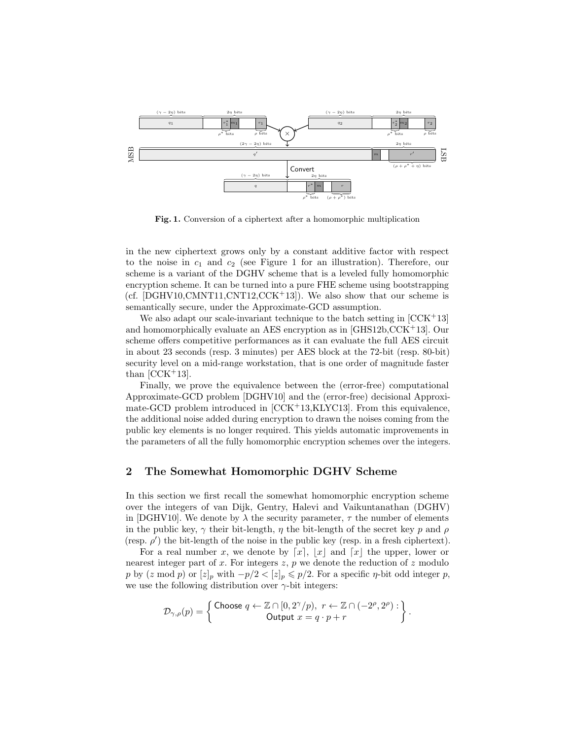

Fig. 1. Conversion of a ciphertext after a homomorphic multiplication

in the new ciphertext grows only by a constant additive factor with respect to the noise in  $c_1$  and  $c_2$  (see Figure 1 for an illustration). Therefore, our scheme is a variant of the DGHV scheme that is a leveled fully homomorphic encryption scheme. It can be turned into a pure FHE scheme using bootstrapping (cf.  $[{\rm DGHV10,CMNT11,CNT12,CCK+13}]$ ). We also show that our scheme is semantically secure, under the Approximate-GCD assumption.

We also adapt our scale-invariant technique to the batch setting in  $[CCK^+13]$ and homomorphically evaluate an AES encryption as in [GHS12b,CCK<sup>+</sup>13]. Our scheme offers competitive performances as it can evaluate the full AES circuit in about 23 seconds (resp. 3 minutes) per AES block at the 72-bit (resp. 80-bit) security level on a mid-range workstation, that is one order of magnitude faster than  $[CCK+13]$ .

Finally, we prove the equivalence between the (error-free) computational Approximate-GCD problem [DGHV10] and the (error-free) decisional Approximate-GCD problem introduced in [CCK<sup>+</sup>13,KLYC13]. From this equivalence, the additional noise added during encryption to drawn the noises coming from the public key elements is no longer required. This yields automatic improvements in the parameters of all the fully homomorphic encryption schemes over the integers.

## 2 The Somewhat Homomorphic DGHV Scheme

In this section we first recall the somewhat homomorphic encryption scheme over the integers of van Dijk, Gentry, Halevi and Vaikuntanathan (DGHV) in [DGHV10]. We denote by  $\lambda$  the security parameter,  $\tau$  the number of elements in the public key,  $\gamma$  their bit-length,  $\eta$  the bit-length of the secret key p and  $\rho$ (resp.  $\rho'$ ) the bit-length of the noise in the public key (resp. in a fresh ciphertext).

For a real number x, we denote by  $\lceil x \rceil$ ,  $\lfloor x \rfloor$  and  $\lceil x \rceil$  the upper, lower or nearest integer part of x. For integers  $z$ ,  $p$  we denote the reduction of  $z$  modulo p by  $(z \mod p)$  or  $[z]_p$  with  $-p/2 < [z]_p \leq p/2$ . For a specific  $\eta$ -bit odd integer p, we use the following distribution over  $\gamma$ -bit integers:

$$
\mathcal{D}_{\gamma,\rho}(p) = \left\{ \begin{array}{c} \text{Choose } q \leftarrow \mathbb{Z} \cap [0,2^{\gamma}/p), \ r \leftarrow \mathbb{Z} \cap (-2^{\rho},2^{\rho}) : \\ \text{Output } x = q \cdot p + r \end{array} \right\}.
$$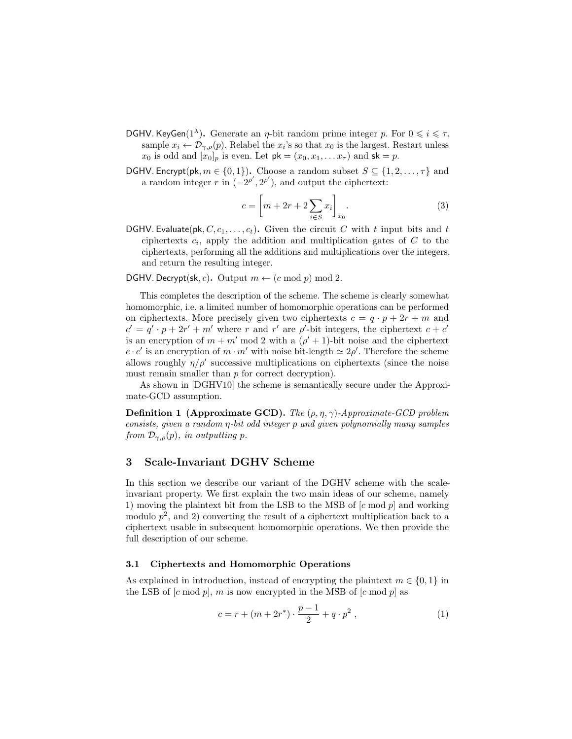- DGHV. KeyGen(1<sup> $\lambda$ </sup>). Generate an  $\eta$ -bit random prime integer p. For  $0 \leqslant i \leqslant \tau$ , sample  $x_i \leftarrow \mathcal{D}_{\gamma,\rho}(p)$ . Relabel the  $x_i$ 's so that  $x_0$  is the largest. Restart unless  $x_0$  is odd and  $[x_0]_p$  is even. Let  $pk = (x_0, x_1, \ldots x_\tau)$  and  $sk = p$ .
- DGHV. Encrypt(pk,  $m \in \{0, 1\}$ ). Choose a random subset  $S \subseteq \{1, 2, ..., \tau\}$  and a random integer r in  $(-2^{\rho'}, 2^{\rho'})$ , and output the ciphertext:

$$
c = \left[ m + 2r + 2 \sum_{i \in S} x_i \right]_{x_0}.
$$
 (3)

DGHV. Evaluate(pk,  $C, c_1, \ldots, c_t$ ). Given the circuit C with t input bits and t ciphertexts  $c_i$ , apply the addition and multiplication gates of  $C$  to the ciphertexts, performing all the additions and multiplications over the integers, and return the resulting integer.

DGHV. Decrypt(sk, c). Output  $m \leftarrow (c \mod p) \mod 2$ .

This completes the description of the scheme. The scheme is clearly somewhat homomorphic, i.e. a limited number of homomorphic operations can be performed on ciphertexts. More precisely given two ciphertexts  $c = q \cdot p + 2r + m$  and  $c' = q' \cdot p + 2r' + m'$  where r and r' are  $\rho'$ -bit integers, the ciphertext  $c + c'$ is an encryption of  $m + m'$  mod 2 with a  $(\rho' + 1)$ -bit noise and the ciphertext  $c \cdot c'$  is an encryption of  $m \cdot m'$  with noise bit-length  $\simeq 2\rho'$ . Therefore the scheme allows roughly  $\eta/\rho'$  successive multiplications on ciphertexts (since the noise must remain smaller than  $p$  for correct decryption).

As shown in [DGHV10] the scheme is semantically secure under the Approximate-GCD assumption.

**Definition 1** (Approximate GCD). The  $(\rho, \eta, \gamma)$ -Approximate-GCD problem consists, given a random η-bit odd integer p and given polynomially many samples from  $\mathcal{D}_{\gamma,\rho}(p)$ , in outputting p.

## 3 Scale-Invariant DGHV Scheme

In this section we describe our variant of the DGHV scheme with the scaleinvariant property. We first explain the two main ideas of our scheme, namely 1) moving the plaintext bit from the LSB to the MSB of  $[c \mod p]$  and working modulo  $p^2$ , and 2) converting the result of a ciphertext multiplication back to a ciphertext usable in subsequent homomorphic operations. We then provide the full description of our scheme.

#### 3.1 Ciphertexts and Homomorphic Operations

As explained in introduction, instead of encrypting the plaintext  $m \in \{0, 1\}$  in the LSB of  $[c \mod p]$ , m is now encrypted in the MSB of  $[c \mod p]$  as

$$
c = r + (m + 2r^*) \cdot \frac{p-1}{2} + q \cdot p^2 , \qquad (1)
$$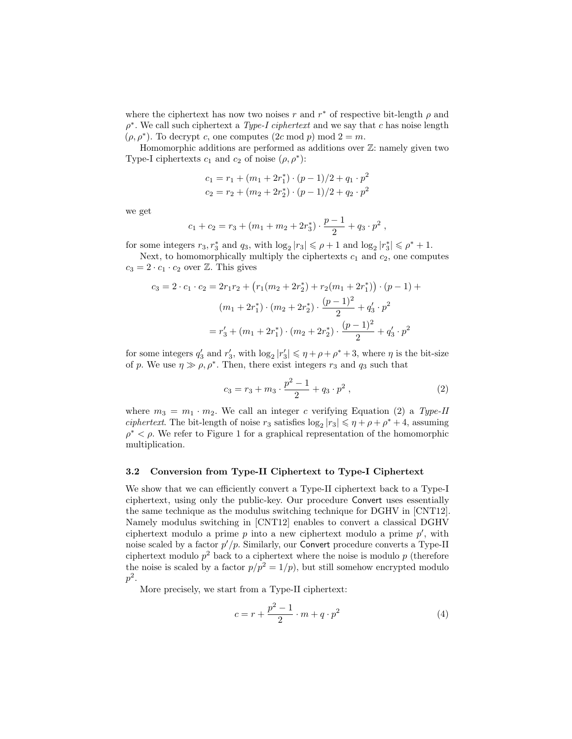where the ciphertext has now two noises r and  $r^*$  of respective bit-length  $\rho$  and  $\rho^*$ . We call such ciphertext a *Type-I ciphertext* and we say that c has noise length  $(\rho, \rho^*)$ . To decrypt c, one computes  $(2c \mod p) \mod 2 = m$ .

Homomorphic additions are performed as additions over  $\mathbb{Z}$ : namely given two Type-I ciphertexts  $c_1$  and  $c_2$  of noise  $(\rho, \rho^*)$ :

$$
c_1 = r_1 + (m_1 + 2r_1^*) \cdot (p - 1)/2 + q_1 \cdot p^2
$$
  

$$
c_2 = r_2 + (m_2 + 2r_2^*) \cdot (p - 1)/2 + q_2 \cdot p^2
$$

we get

$$
c_1 + c_2 = r_3 + (m_1 + m_2 + 2r_3^*) \cdot \frac{p-1}{2} + q_3 \cdot p^2,
$$

for some integers  $r_3, r_3^*$  and  $q_3$ , with  $\log_2 |r_3| \leq \rho + 1$  and  $\log_2 |r_3^*| \leq \rho^* + 1$ .

Next, to homomorphically multiply the ciphertexts  $c_1$  and  $c_2$ , one computes  $c_3 = 2 \cdot c_1 \cdot c_2$  over  $\mathbb{Z}$ . This gives

$$
c_3 = 2 \cdot c_1 \cdot c_2 = 2r_1r_2 + (r_1(m_2 + 2r_2^*) + r_2(m_1 + 2r_1^*)) \cdot (p - 1) + (m_1 + 2r_1^*) \cdot (m_2 + 2r_2^*) \cdot \frac{(p - 1)^2}{2} + q'_3 \cdot p^2
$$

$$
= r'_3 + (m_1 + 2r_1^*) \cdot (m_2 + 2r_2^*) \cdot \frac{(p - 1)^2}{2} + q'_3 \cdot p^2
$$

for some integers  $q'_3$  and  $r'_3$ , with  $\log_2 |r'_3| \leq \eta + \rho + \rho^* + 3$ , where  $\eta$  is the bit-size of p. We use  $\eta \gg \rho, \rho^*$ . Then, there exist integers  $r_3$  and  $q_3$  such that

$$
c_3 = r_3 + m_3 \cdot \frac{p^2 - 1}{2} + q_3 \cdot p^2 , \qquad (2)
$$

where  $m_3 = m_1 \cdot m_2$ . We call an integer c verifying Equation (2) a Type-II *ciphertext*. The bit-length of noise  $r_3$  satisfies  $\log_2 |r_3| \le \eta + \rho + \rho^* + 4$ , assuming  $\rho^* < \rho$ . We refer to Figure 1 for a graphical representation of the homomorphic multiplication.

## 3.2 Conversion from Type-II Ciphertext to Type-I Ciphertext

We show that we can efficiently convert a Type-II ciphertext back to a Type-I ciphertext, using only the public-key. Our procedure Convert uses essentially the same technique as the modulus switching technique for DGHV in [CNT12]. Namely modulus switching in [CNT12] enables to convert a classical DGHV ciphertext modulo a prime  $p$  into a new ciphertext modulo a prime  $p'$ , with noise scaled by a factor  $p'/p$ . Similarly, our Convert procedure converts a Type-II ciphertext modulo  $p^2$  back to a ciphertext where the noise is modulo  $p$  (therefore the noise is scaled by a factor  $p/p^2 = 1/p$ , but still somehow encrypted modulo  $p^2$ .

More precisely, we start from a Type-II ciphertext:

$$
c = r + \frac{p^2 - 1}{2} \cdot m + q \cdot p^2 \tag{4}
$$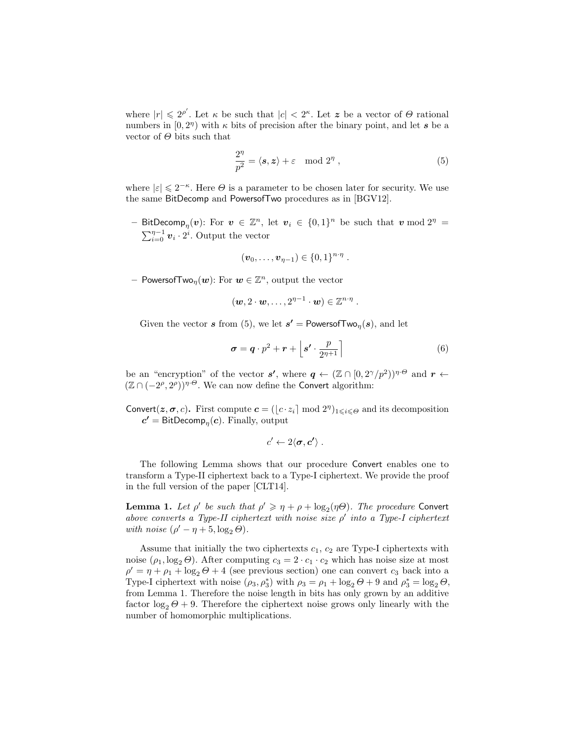where  $|r| \leq 2^{\rho'}$ . Let  $\kappa$  be such that  $|c| < 2^{\kappa}$ . Let  $z$  be a vector of  $\Theta$  rational numbers in  $[0, 2^n)$  with  $\kappa$  bits of precision after the binary point, and let s be a vector of  $\Theta$  bits such that

$$
\frac{2^{\eta}}{p^2} = \langle \mathbf{s}, \mathbf{z} \rangle + \varepsilon \mod 2^{\eta} , \tag{5}
$$

where  $|\varepsilon| \leq 2^{-\kappa}$ . Here  $\Theta$  is a parameter to be chosen later for security. We use the same BitDecomp and PowersofTwo procedures as in [BGV12].

- BitDecomp<sub>n</sub>(v): For  $v \in \mathbb{Z}^n$ , let  $v_i \in \{0,1\}^n$  be such that  $v \mod 2^n =$  $\sum_{i=0}^{\eta-1} \boldsymbol{v}_i \cdot 2^i$ . Output the vector

$$
(\boldsymbol{v}_0,\ldots,\boldsymbol{v}_{\eta-1})\in\{0,1\}^{n\cdot\eta}.
$$

- Powersof $\mathsf{Two}_\eta(\boldsymbol{w})$ : For  $\boldsymbol{w}\in\mathbb{Z}^n,$  output the vector

$$
(\boldsymbol{w}, 2 \cdot \boldsymbol{w}, \ldots, 2^{\eta-1} \cdot \boldsymbol{w}) \in \mathbb{Z}^{n \cdot \eta} .
$$

Given the vector s from (5), we let  $s' = \text{PowersofTwo}_{\eta}(s)$ , and let

$$
\boldsymbol{\sigma} = \boldsymbol{q} \cdot p^2 + \boldsymbol{r} + \left[ \boldsymbol{s'} \cdot \frac{p}{2^{n+1}} \right] \tag{6}
$$

be an "encryption" of the vector  $s'$ , where  $q \leftarrow (\mathbb{Z} \cap [0, 2^{\gamma}/p^2))^{\eta \cdot \Theta}$  and  $r \leftarrow$  $(\mathbb{Z} \cap (-2^{\rho}, 2^{\rho}))^{\eta \cdot \Theta}$ . We can now define the Convert algorithm:

Convert $(z, \sigma, c)$ . First compute  $\boldsymbol{c} = (\lfloor c \cdot z_i \rfloor \mod 2^n)_{1 \leq i \leq \Theta}$  and its decomposition  $\boldsymbol{c'} = \mathsf{BitDecomp}_{\eta}(\boldsymbol{c}).$  Finally, output

$$
c' \leftarrow 2\langle \pmb{\sigma}, \pmb{c'} \rangle \; .
$$

The following Lemma shows that our procedure Convert enables one to transform a Type-II ciphertext back to a Type-I ciphertext. We provide the proof in the full version of the paper [CLT14].

**Lemma 1.** Let  $\rho'$  be such that  $\rho' \geq \eta + \rho + \log_2(\eta \Theta)$ . The procedure Convert above converts a Type-II ciphertext with noise size  $\rho'$  into a Type-I ciphertext with noise  $(\rho' - \eta + 5, \log_2 \Theta)$ .

Assume that initially the two ciphertexts  $c_1$ ,  $c_2$  are Type-I ciphertexts with noise  $(\rho_1, \log_2 \Theta)$ . After computing  $c_3 = 2 \cdot c_1 \cdot c_2$  which has noise size at most  $\rho' = \eta + \rho_1 + \log_2 \Theta + 4$  (see previous section) one can convert  $c_3$  back into a Type-I ciphertext with noise  $(\rho_3, \rho_3^*)$  with  $\rho_3 = \rho_1 + \log_2 \Theta + 9$  and  $\rho_3^* = \log_2 \Theta$ , from Lemma 1. Therefore the noise length in bits has only grown by an additive factor  $\log_2 \Theta + 9$ . Therefore the ciphertext noise grows only linearly with the number of homomorphic multiplications.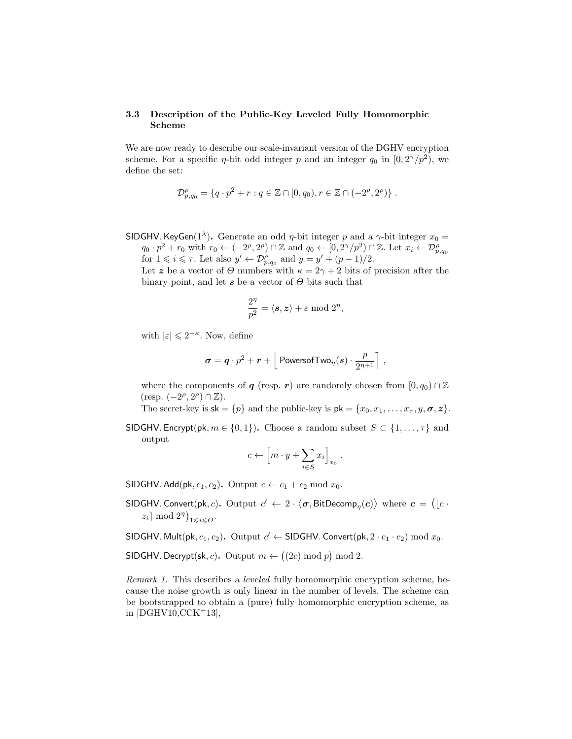## 3.3 Description of the Public-Key Leveled Fully Homomorphic Scheme

We are now ready to describe our scale-invariant version of the DGHV encryption scheme. For a specific  $\eta$ -bit odd integer p and an integer  $q_0$  in  $[0, 2^{\gamma}/p^2)$ , we define the set:

$$
\mathcal{D}_{p,q_0}^{\rho} = \{q \cdot p^2 + r : q \in \mathbb{Z} \cap [0,q_0), r \in \mathbb{Z} \cap (-2^{\rho}, 2^{\rho})\}.
$$

SIDGHV. KeyGen(1<sup> $\lambda$ </sup>). Generate an odd  $\eta$ -bit integer  $p$  and a  $\gamma$ -bit integer  $x_0 =$  $q_0 \cdot p^2 + r_0$  with  $r_0 \leftarrow (-2^{\rho}, 2^{\rho}) \cap \mathbb{Z}$  and  $q_0 \leftarrow [0, 2^{\gamma}/p^2) \cap \mathbb{Z}$ . Let  $x_i \leftarrow \mathcal{D}_{p,q_0}^{\rho}$ for  $1 \leq i \leq \tau$ . Let also  $y' \leftarrow \mathcal{D}_{p,q_0}^{\rho}$  and  $y = y' + (p-1)/2$ .

Let z be a vector of  $\Theta$  numbers with  $\kappa = 2\gamma + 2$  bits of precision after the binary point, and let  $s$  be a vector of  $\Theta$  bits such that

$$
\frac{2^{\eta}}{p^2} = \langle \bm{s}, \bm{z} \rangle + \varepsilon \bmod 2^{\eta},
$$

with  $|\varepsilon| \leqslant 2^{-\kappa}$ . Now, define

$$
\boldsymbol{\sigma} = \boldsymbol{q} \cdot p^2 + \boldsymbol{r} + \left[ \text{ PowersofTwo}_{\eta}(\boldsymbol{s}) \cdot \frac{p}{2^{\eta+1}} \right],
$$

where the components of q (resp. r) are randomly chosen from  $[0, q_0) \cap \mathbb{Z}$ (resp.  $(-2^{\rho}, 2^{\rho}) \cap \mathbb{Z}$ ).

The secret-key is  $sk = \{p\}$  and the public-key is  $pk = \{x_0, x_1, \ldots, x_{\tau}, y, \sigma, z\}.$ 

SIDGHV. Encrypt(pk,  $m \in \{0, 1\}$ ). Choose a random subset  $S \subset \{1, ..., \tau\}$  and output

$$
c \leftarrow \left[m \cdot y + \sum_{i \in S} x_i\right]_{x_0}.
$$

SIDGHV. Add(pk,  $c_1$ ,  $c_2$ ). Output  $c \leftarrow c_1 + c_2 \mod x_0$ .

SIDGHV. Convert $(\mathsf{pk}, c)$ . Output  $c' \leftarrow 2 \cdot \langle \sigma, \mathsf{BitDecomp}_\eta(\boldsymbol{c}) \rangle$  where  $\boldsymbol{c} = \bigl( \lfloor c \cdot \pmb{\beta} \rfloor \bigr)$  $z_i \rceil \bmod 2^{\eta}$ <sub>1 $\leq i \leq \Theta$ </sub>.

SIDGHV. Mult(pk,  $c_1, c_2$ ). Output  $c' \leftarrow \textsf{SIDGHV}$ . Convert(pk,  $2 \cdot c_1 \cdot c_2$ ) mod  $x_0$ .

SIDGHV. Decrypt(sk, c). Output  $m \leftarrow ((2c) \bmod p) \bmod 2$ .

Remark 1. This describes a leveled fully homomorphic encryption scheme, because the noise growth is only linear in the number of levels. The scheme can be bootstrapped to obtain a (pure) fully homomorphic encryption scheme, as in  $[$ DGHV10,CCK $+$ 13 $]$ ,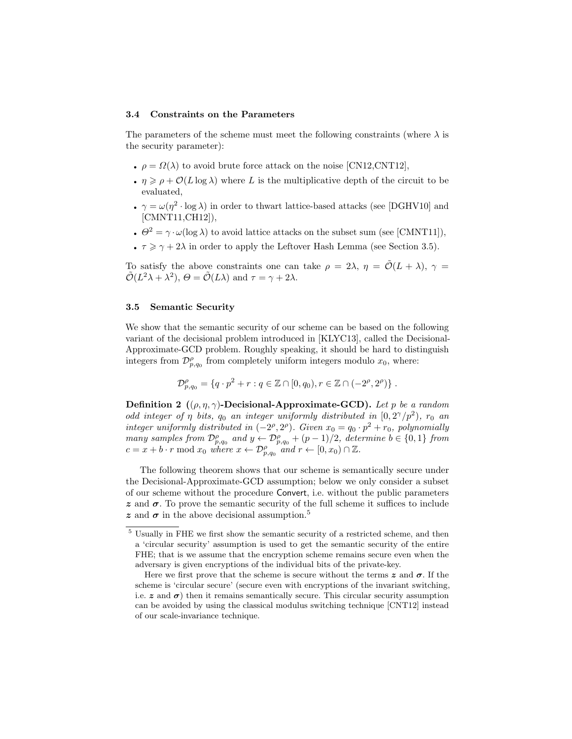#### 3.4 Constraints on the Parameters

The parameters of the scheme must meet the following constraints (where  $\lambda$  is the security parameter):

- $\rho = \Omega(\lambda)$  to avoid brute force attack on the noise [CN12,CNT12],
- $\eta \geqslant \rho + \mathcal{O}(L \log \lambda)$  where L is the multiplicative depth of the circuit to be evaluated,
- $\gamma = \omega(\eta^2 \cdot \log \lambda)$  in order to thwart lattice-based attacks (see [DGHV10] and [CMNT11,CH12]),
- $\Theta^2 = \gamma \cdot \omega(\log \lambda)$  to avoid lattice attacks on the subset sum (see [CMNT11]),
- $\tau \geq \gamma + 2\lambda$  in order to apply the Leftover Hash Lemma (see Section 3.5).

To satisfy the above constraints one can take  $\rho = 2\lambda$ ,  $\eta = \tilde{\mathcal{O}}(L + \lambda)$ ,  $\gamma =$  $\tilde{\mathcal{O}}(L^2\lambda + \lambda^2), \,\Theta = \tilde{\mathcal{O}}(L\lambda) \text{ and } \tau = \gamma + 2\lambda.$ 

#### 3.5 Semantic Security

We show that the semantic security of our scheme can be based on the following variant of the decisional problem introduced in [KLYC13], called the Decisional-Approximate-GCD problem. Roughly speaking, it should be hard to distinguish integers from  $\mathcal{D}_{p,q_0}^{\rho}$  from completely uniform integers modulo  $x_0$ , where:

$$
\mathcal{D}_{p,q_0}^{\rho} = \{q \cdot p^2 + r : q \in \mathbb{Z} \cap [0,q_0), r \in \mathbb{Z} \cap (-2^{\rho}, 2^{\rho})\}.
$$

**Definition 2** (( $\rho$ ,  $\eta$ ,  $\gamma$ )-Decisional-Approximate-GCD). Let p be a random odd integer of  $\eta$  bits,  $q_0$  an integer uniformly distributed in  $[0, 2^{\gamma}/p^2)$ ,  $r_0$  an integer uniformly distributed in  $(-2^{\rho}, 2^{\rho})$ . Given  $x_0 = q_0 \cdot p^2 + r_0$ , polynomially many samples from  $\mathcal{D}_{p,q_0}^{\rho}$  and  $y \leftarrow \mathcal{D}_{p,q_0}^{\rho} + (p-1)/2$ , determine  $b \in \{0,1\}$  from  $c = x + b \cdot r \mod x_0$  where  $x \leftarrow \mathcal{D}_{p,q_0}^{\rho}$  and  $r \leftarrow [0,x_0) \cap \mathbb{Z}$ .

The following theorem shows that our scheme is semantically secure under the Decisional-Approximate-GCD assumption; below we only consider a subset of our scheme without the procedure Convert, i.e. without the public parameters z and  $\sigma$ . To prove the semantic security of the full scheme it suffices to include z and  $\sigma$  in the above decisional assumption.<sup>5</sup>

<sup>5</sup> Usually in FHE we first show the semantic security of a restricted scheme, and then a 'circular security' assumption is used to get the semantic security of the entire FHE; that is we assume that the encryption scheme remains secure even when the adversary is given encryptions of the individual bits of the private-key.

Here we first prove that the scheme is secure without the terms  $z$  and  $\sigma$ . If the scheme is 'circular secure' (secure even with encryptions of the invariant switching, i.e.  $z$  and  $\sigma$ ) then it remains semantically secure. This circular security assumption can be avoided by using the classical modulus switching technique [CNT12] instead of our scale-invariance technique.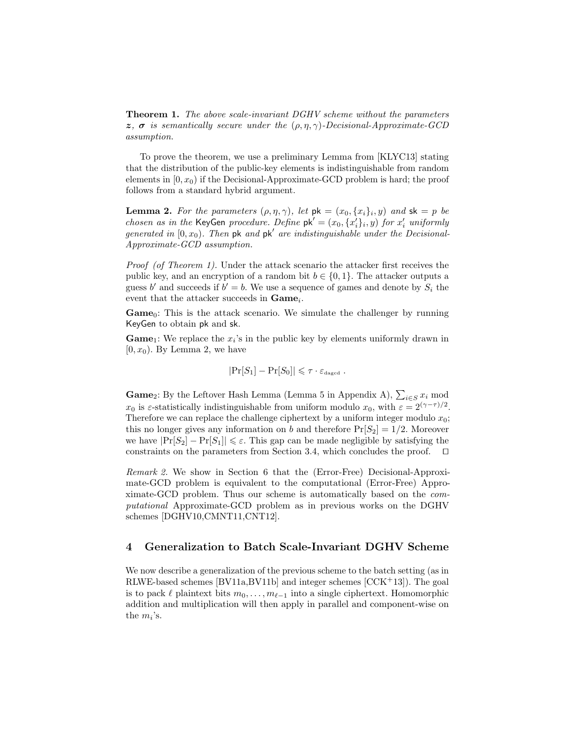Theorem 1. The above scale-invariant DGHV scheme without the parameters z,  $\sigma$  is semantically secure under the  $(\rho, \eta, \gamma)$ -Decisional-Approximate-GCD assumption.

To prove the theorem, we use a preliminary Lemma from [KLYC13] stating that the distribution of the public-key elements is indistinguishable from random elements in  $[0, x_0)$  if the Decisional-Approximate-GCD problem is hard; the proof follows from a standard hybrid argument.

**Lemma 2.** For the parameters  $(\rho, \eta, \gamma)$ , let  $\mathsf{pk} = (x_0, \{x_i\}_i, y)$  and  $\mathsf{sk} = p$  be chosen as in the KeyGen procedure. Define  $pk' = (x_0, \{x_i'\}_i, y)$  for  $x_i'$  uniformly generated in  $[0, x_0)$ . Then pk and pk' are indistinguishable under the Decisional-Approximate-GCD assumption.

Proof (of Theorem 1). Under the attack scenario the attacker first receives the public key, and an encryption of a random bit  $b \in \{0, 1\}$ . The attacker outputs a guess b' and succeeds if  $b' = b$ . We use a sequence of games and denote by  $S_i$  the event that the attacker succeeds in  $Game_i$ .

**Game**<sub>0</sub>: This is the attack scenario. We simulate the challenger by running KeyGen to obtain pk and sk.

**Game**<sub>1</sub>: We replace the  $x_i$ 's in the public key by elements uniformly drawn in  $[0, x_0)$ . By Lemma 2, we have

$$
|\mathrm{Pr}[S_1] - \mathrm{Pr}[S_0]| \leq \tau \cdot \varepsilon_{\text{daged}}.
$$

**Game**<sub>2</sub>: By the Leftover Hash Lemma (Lemma 5 in Appendix A),  $\sum_{i \in S} x_i$  mod  $x_0$  is  $\varepsilon$ -statistically indistinguishable from uniform modulo  $x_0$ , with  $\varepsilon = 2^{(\gamma - \tau)/2}$ . Therefore we can replace the challenge ciphertext by a uniform integer modulo  $x_0$ ; this no longer gives any information on b and therefore  $Pr[S_2] = 1/2$ . Moreover we have  $|\Pr[S_2] - \Pr[S_1]| \leq \varepsilon$ . This gap can be made negligible by satisfying the constraints on the parameters from Section 3.4, which concludes the proof.  $\Box$ constraints on the parameters from Section 3.4, which concludes the proof.

Remark 2. We show in Section 6 that the (Error-Free) Decisional-Approximate-GCD problem is equivalent to the computational (Error-Free) Approximate-GCD problem. Thus our scheme is automatically based on the computational Approximate-GCD problem as in previous works on the DGHV schemes [DGHV10,CMNT11,CNT12].

## 4 Generalization to Batch Scale-Invariant DGHV Scheme

We now describe a generalization of the previous scheme to the batch setting (as in RLWE-based schemes [BV11a,BV11b] and integer schemes [CCK<sup>+</sup>13]). The goal is to pack  $\ell$  plaintext bits  $m_0, \ldots, m_{\ell-1}$  into a single ciphertext. Homomorphic addition and multiplication will then apply in parallel and component-wise on the  $m_i$ 's.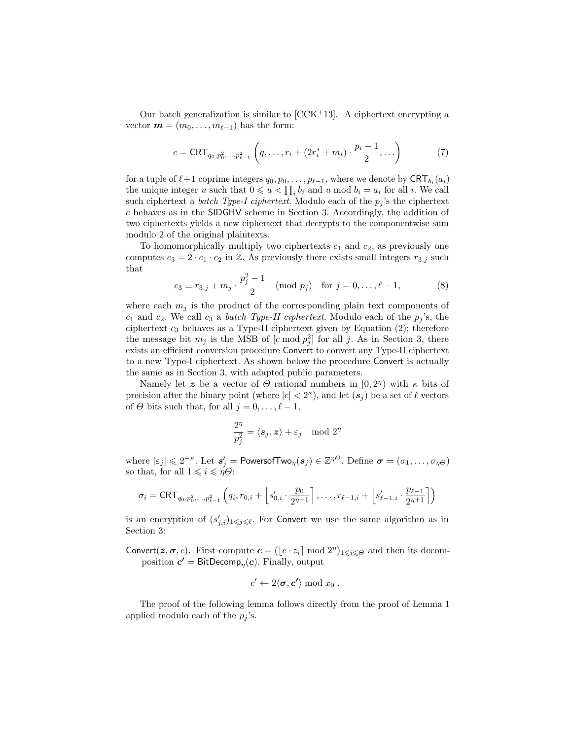Our batch generalization is similar to  $|CCK^+13|$ . A ciphertext encrypting a vector  $\mathbf{m} = (m_0, \ldots, m_{\ell-1})$  has the form:

$$
c = \text{CRT}_{q_0, p_0^2, \dots, p_{\ell-1}^2} \left( q, \dots, r_i + (2r_i^* + m_i) \cdot \frac{p_i - 1}{2}, \dots \right) \tag{7}
$$

for a tuple of  $\ell+1$  coprime integers  $q_0, p_0, \ldots, p_{\ell-1}$ , where we denote by  $CRT_{b_i}(a_i)$ the unique integer u such that  $0 \leq u < \prod_i b_i$  and u mod  $b_i = a_i$  for all i. We call such ciphertext a *batch Type-I ciphertext*. Modulo each of the  $p_j$ 's the ciphertext c behaves as in the SIDGHV scheme in Section 3. Accordingly, the addition of two ciphertexts yields a new ciphertext that decrypts to the componentwise sum modulo 2 of the original plaintexts.

To homomorphically multiply two ciphertexts  $c_1$  and  $c_2$ , as previously one computes  $c_3 = 2 \cdot c_1 \cdot c_2$  in Z. As previously there exists small integers  $r_{3,j}$  such that

$$
c_3 \equiv r_{3,j} + m_j \cdot \frac{p_j^2 - 1}{2} \pmod{p_j} \quad \text{for } j = 0, \dots, \ell - 1,
$$
 (8)

where each  $m_j$  is the product of the corresponding plain text components of  $c_1$  and  $c_2$ . We call  $c_3$  a *batch Type-II ciphertext*. Modulo each of the  $p_j$ 's, the ciphertext  $c_3$  behaves as a Type-II ciphertext given by Equation (2); therefore the message bit  $m_j$  is the MSB of  $[c \mod p_j^2]$  for all j. As in Section 3, there exists an efficient conversion procedure Convert to convert any Type-II ciphertext to a new Type-I ciphertext. As shown below the procedure Convert is actually the same as in Section 3, with adapted public parameters.

Namely let z be a vector of  $\Theta$  rational numbers in  $[0, 2<sup>{\eta}</sup>]$  with  $\kappa$  bits of precision after the binary point (where  $|c| < 2<sup>\kappa</sup>$ ), and let  $(s_j)$  be a set of  $\ell$  vectors of  $\Theta$  bits such that, for all  $j = 0, \ldots, \ell - 1$ ,

$$
\frac{2^{\eta}}{p_j^2} = \langle \pmb{s}_j, \pmb{z} \rangle + \varepsilon_j \mod 2^{\eta}
$$

where  $|\varepsilon_j| \leqslant 2^{-\kappa}$ . Let  $s'_j = \text{PowersofTwo}_{\eta}(s_j) \in \mathbb{Z}^{\eta\Theta}$ . Define  $\boldsymbol{\sigma} = (\sigma_1, \dots, \sigma_{\eta\Theta})$ so that, for all  $1 \leq i \leq \eta \Theta$ :

$$
\sigma_i = \textsf{CRT}_{q_0, p_0^2, \dots, p_{\ell-1}^2} \left( q_i, r_{0,i} + \left\lfloor s'_{0,i} \cdot \frac{p_0}{2^{n+1}} \right\rceil, \dots, r_{\ell-1,i} + \left\lfloor s'_{\ell-1,i} \cdot \frac{p_{\ell-1}}{2^{n+1}} \right\rceil \right)
$$

is an encryption of  $(s'_{j,i})_{1\leqslant i\leqslant \ell}$ . For Convert we use the same algorithm as in Section 3:

Convert $(z, \sigma, c)$ . First compute  $c = (\lfloor c \cdot z_i \rfloor \mod 2^n)_{1 \leq i \leq \Theta}$  and then its decomposition  $c' = \mathsf{BitDecomp}_{\eta}(c)$ . Finally, output

$$
c' \leftarrow 2\langle \boldsymbol{\sigma}, \boldsymbol{c'} \rangle \bmod x_0 .
$$

The proof of the following lemma follows directly from the proof of Lemma 1 applied modulo each of the  $p_j$ 's.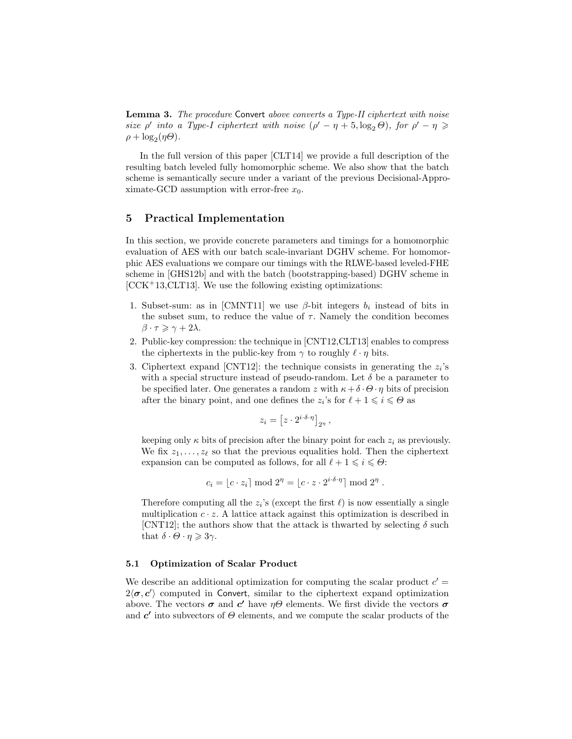Lemma 3. The procedure Convert above converts a Type-II ciphertext with noise size  $\rho'$  into a Type-I ciphertext with noise  $(\rho' - \eta + 5, \log_2 \Theta)$ , for  $\rho' - \eta \geq$  $\rho + \log_2(\eta \Theta)$ .

In the full version of this paper [CLT14] we provide a full description of the resulting batch leveled fully homomorphic scheme. We also show that the batch scheme is semantically secure under a variant of the previous Decisional-Approximate-GCD assumption with error-free  $x_0$ .

## 5 Practical Implementation

In this section, we provide concrete parameters and timings for a homomorphic evaluation of AES with our batch scale-invariant DGHV scheme. For homomorphic AES evaluations we compare our timings with the RLWE-based leveled-FHE scheme in [GHS12b] and with the batch (bootstrapping-based) DGHV scheme in  $[CCK<sup>+</sup>13, CLT13]$ . We use the following existing optimizations:

- 1. Subset-sum: as in [CMNT11] we use  $\beta$ -bit integers  $b_i$  instead of bits in the subset sum, to reduce the value of  $\tau$ . Namely the condition becomes  $\beta \cdot \tau \geqslant \gamma + 2\lambda$ .
- 2. Public-key compression: the technique in [CNT12,CLT13] enables to compress the ciphertexts in the public-key from  $\gamma$  to roughly  $\ell \cdot \eta$  bits.
- 3. Ciphertext expand [CNT12]: the technique consists in generating the  $z_i$ 's with a special structure instead of pseudo-random. Let  $\delta$  be a parameter to be specified later. One generates a random z with  $\kappa + \delta \cdot \Theta \cdot \eta$  bits of precision after the binary point, and one defines the  $z_i$ 's for  $\ell + 1 \leq i \leq \Theta$  as

$$
z_i = \left[z \cdot 2^{i \cdot \delta \cdot \eta}\right]_{2\eta},
$$

keeping only  $\kappa$  bits of precision after the binary point for each  $z_i$  as previously. We fix  $z_1, \ldots, z_\ell$  so that the previous equalities hold. Then the ciphertext expansion can be computed as follows, for all  $\ell + 1 \leq i \leq \Theta$ :

$$
c_i = \lfloor c \cdot z_i \rceil \bmod 2^{\eta} = \lfloor c \cdot z \cdot 2^{i \cdot \delta \cdot \eta} \rceil \bmod 2^{\eta}.
$$

Therefore computing all the  $z_i$ 's (except the first  $\ell$ ) is now essentially a single multiplication  $c \cdot z$ . A lattice attack against this optimization is described in [CNT12]; the authors show that the attack is thwarted by selecting  $\delta$  such that  $\delta \cdot \Theta \cdot \eta \geqslant 3\gamma$ .

#### 5.1 Optimization of Scalar Product

We describe an additional optimization for computing the scalar product  $c'$  =  $2\langle \sigma, c' \rangle$  computed in Convert, similar to the ciphertext expand optimization above. The vectors  $\sigma$  and  $c'$  have  $\eta\Theta$  elements. We first divide the vectors  $\sigma$ and  $c'$  into subvectors of  $\Theta$  elements, and we compute the scalar products of the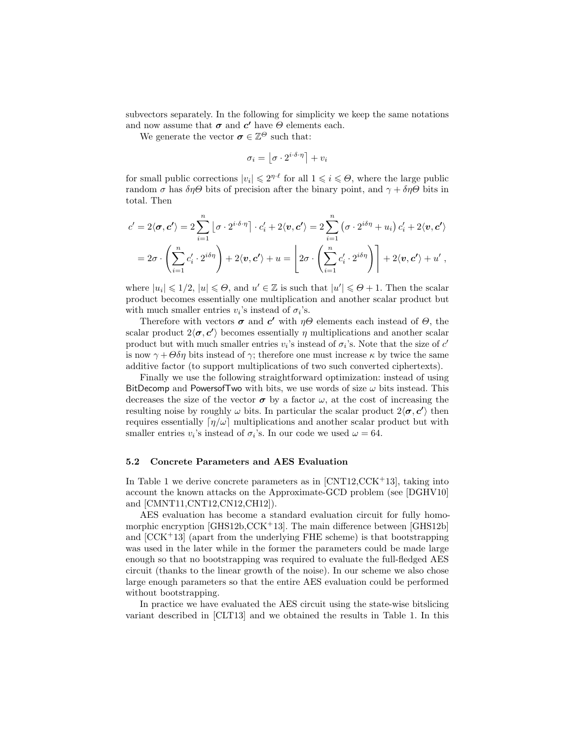subvectors separately. In the following for simplicity we keep the same notations and now assume that  $\sigma$  and  $c'$  have  $\Theta$  elements each.

We generate the vector  $\boldsymbol{\sigma} \in \mathbb{Z}^{\Theta}$  such that:

$$
\sigma_i = \left\lfloor \sigma \cdot 2^{i \cdot \delta \cdot \eta} \right\rceil + v_i
$$

for small public corrections  $|v_i| \leq 2^{\eta \cdot \ell}$  for all  $1 \leq i \leq \Theta$ , where the large public random  $\sigma$  has  $\delta \eta \Theta$  bits of precision after the binary point, and  $\gamma + \delta \eta \Theta$  bits in total. Then

$$
c' = 2\langle \sigma, \mathbf{c'} \rangle = 2 \sum_{i=1}^{n} \left[ \sigma \cdot 2^{i \cdot \delta \cdot \eta} \right] \cdot c'_{i} + 2\langle \mathbf{v}, \mathbf{c'} \rangle = 2 \sum_{i=1}^{n} \left( \sigma \cdot 2^{i \delta \eta} + u_{i} \right) c'_{i} + 2\langle \mathbf{v}, \mathbf{c'} \rangle
$$
  
=  $2\sigma \cdot \left( \sum_{i=1}^{n} c'_{i} \cdot 2^{i \delta \eta} \right) + 2\langle \mathbf{v}, \mathbf{c'} \rangle + u = \left[ 2\sigma \cdot \left( \sum_{i=1}^{n} c'_{i} \cdot 2^{i \delta \eta} \right) \right] + 2\langle \mathbf{v}, \mathbf{c'} \rangle + u',$ 

where  $|u_i| \leq 1/2$ ,  $|u| \leq \Theta$ , and  $u' \in \mathbb{Z}$  is such that  $|u'| \leq \Theta + 1$ . Then the scalar product becomes essentially one multiplication and another scalar product but with much smaller entries  $v_i$ 's instead of  $\sigma_i$ 's.

Therefore with vectors  $\sigma$  and  $c'$  with  $\eta\Theta$  elements each instead of  $\Theta$ , the scalar product  $2\langle \sigma, c' \rangle$  becomes essentially  $\eta$  multiplications and another scalar product but with much smaller entries  $v_i$ 's instead of  $\sigma_i$ 's. Note that the size of  $c'$ is now  $\gamma + \Theta \delta \eta$  bits instead of  $\gamma$ ; therefore one must increase  $\kappa$  by twice the same additive factor (to support multiplications of two such converted ciphertexts).

Finally we use the following straightforward optimization: instead of using BitDecomp and PowersofTwo with bits, we use words of size  $\omega$  bits instead. This decreases the size of the vector  $\sigma$  by a factor  $\omega$ , at the cost of increasing the resulting noise by roughly  $\omega$  bits. In particular the scalar product  $2\langle \sigma, c' \rangle$  then requires essentially  $\lceil \eta/\omega \rceil$  multiplications and another scalar product but with smaller entries  $v_i$ 's instead of  $\sigma_i$ 's. In our code we used  $\omega = 64$ .

#### 5.2 Concrete Parameters and AES Evaluation

In Table 1 we derive concrete parameters as in  $\text{[CNT12,CCK+13]}$ , taking into account the known attacks on the Approximate-GCD problem (see [DGHV10] and [CMNT11,CNT12,CN12,CH12]).

AES evaluation has become a standard evaluation circuit for fully homomorphic encryption [GHS12b,CCK<sup>+</sup>13]. The main difference between [GHS12b] and  $[CCK+13]$  (apart from the underlying FHE scheme) is that bootstrapping was used in the later while in the former the parameters could be made large enough so that no bootstrapping was required to evaluate the full-fledged AES circuit (thanks to the linear growth of the noise). In our scheme we also chose large enough parameters so that the entire AES evaluation could be performed without bootstrapping.

In practice we have evaluated the AES circuit using the state-wise bitslicing variant described in [CLT13] and we obtained the results in Table 1. In this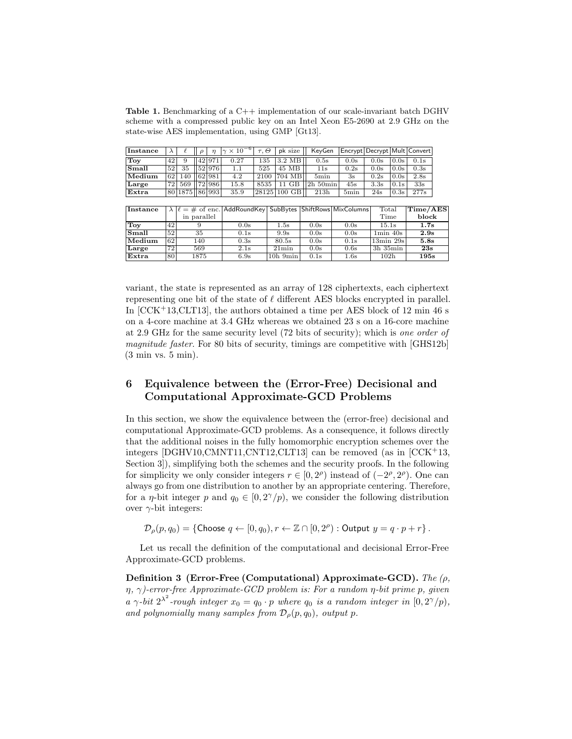Table 1. Benchmarking of a C++ implementation of our scale-invariant batch DGHV scheme with a compressed public key on an Intel Xeon E5-2690 at 2.9 GHz on the state-wise AES implementation, using GMP [Gt13].

| $\sqrt{\frac{1}{1}}$ |                 |                    |         | $n \sqrt{2 \times 10^{-6}}$ | $\tau$ . $\Theta$ | pk size          | KeyGen   Encrypt   Decrypt   Mult   Convert |      |      |      |      |
|----------------------|-----------------|--------------------|---------|-----------------------------|-------------------|------------------|---------------------------------------------|------|------|------|------|
| Tov                  | 42              | 9                  | 42 971  | 0.27                        | 135               | $3.2 \text{ MB}$ | 0.5s                                        | 0.0s | 0.0s | 0.0s | 0.1s |
| $\mathbf{Smal}$      | 52              | 35                 | 152 976 |                             | 525               | 45 MB            | 11s                                         | 0.2s | 0.0s | 0.0s | 0.3s |
| Medium               | 621             | $140$   62   981   |         | 4.2                         | 2100              | 704 MB           | 5min                                        | 3s   | 0.2s | 0.0s | 2.8s |
| Large                | 72 <sub>1</sub> | 569                | 72 986  | 15.8                        | 8535              | 11 GB            | 2h 50min                                    | 45s  | 3.3s | 0.1s | 33s  |
| Extra                |                 | 80 1875   86   993 |         | 35.9                        | 28125             | $100$ GB         | 213h                                        | 5min | 24s  | 0.3s | 277s |

| $\sf{Instance}$   |    | $\lambda$ $\ell = \text{\#}$ of enc. AddRoundKey SubBytes ShiftRows MixColumns |      |            |      |      | Total                       | $\vert$ Time/AES |
|-------------------|----|--------------------------------------------------------------------------------|------|------------|------|------|-----------------------------|------------------|
|                   |    | in parallel                                                                    |      |            |      |      | Time                        | block            |
| Toy               | 42 |                                                                                | 0.0s | 1.5s       | 0.0s | 0.0s | 15.1s                       | 1.7s             |
| $ \mathbf{Smal} $ | 52 | 35                                                                             | 0.1s | 9.9s       | 0.0s | 0.0s | $1\text{min}$ 40s           | 2.9s             |
| Medium            | 62 | 140                                                                            | 0.3s | 80.5s      | 0.0s | 0.1s | $13\text{min}$ $29\text{s}$ | 5.8s             |
| Large             | 72 | 569                                                                            | 2.1s | 21min      | 0.0s | 0.6s | $3h\,35\text{min}$          | 23s              |
| Extra             | 80 | 1875                                                                           | 6.9s | $10h$ 9min | 0.1s | 1.6s | 102h                        | 195s             |

variant, the state is represented as an array of 128 ciphertexts, each ciphertext representing one bit of the state of  $\ell$  different AES blocks encrypted in parallel. In  $[CCK<sup>+</sup>13, CLT13]$ , the authors obtained a time per AES block of 12 min 46 s on a 4-core machine at 3.4 GHz whereas we obtained 23 s on a 16-core machine at 2.9 GHz for the same security level (72 bits of security); which is one order of magnitude faster. For 80 bits of security, timings are competitive with [GHS12b] (3 min vs. 5 min).

# 6 Equivalence between the (Error-Free) Decisional and Computational Approximate-GCD Problems

In this section, we show the equivalence between the (error-free) decisional and computational Approximate-GCD problems. As a consequence, it follows directly that the additional noises in the fully homomorphic encryption schemes over the integers [DGHV10,CMNT11,CNT12,CLT13] can be removed (as in [CCK<sup>+</sup>13, Section 3]), simplifying both the schemes and the security proofs. In the following for simplicity we only consider integers  $r \in [0, 2^{\rho})$  instead of  $(-2^{\rho}, 2^{\rho})$ . One can always go from one distribution to another by an appropriate centering. Therefore, for a  $\eta$ -bit integer  $p$  and  $q_0 \in [0, 2^{\gamma}/p)$ , we consider the following distribution over  $\gamma$ -bit integers:

 $\mathcal{D}_{\rho}(p,q_0) = \{ \textsf{Choose } q \leftarrow [0,q_0), r \leftarrow \mathbb{Z} \cap [0,2^{\rho}): \textsf{Output } y = q \cdot p + r \}.$ 

Let us recall the definition of the computational and decisional Error-Free Approximate-GCD problems.

Definition 3 (Error-Free (Computational) Approximate-GCD). The  $(\rho,$  $\eta$ ,  $\gamma$ )-error-free Approximate-GCD problem is: For a random  $\eta$ -bit prime p, given  $a \gamma$ -bit  $2^{\lambda^2}$ -rough integer  $x_0 = q_0 \cdot p$  where  $q_0$  is a random integer in  $[0, 2^{\gamma}/p)$ , and polynomially many samples from  $\mathcal{D}_{\rho}(p,q_0)$ , output p.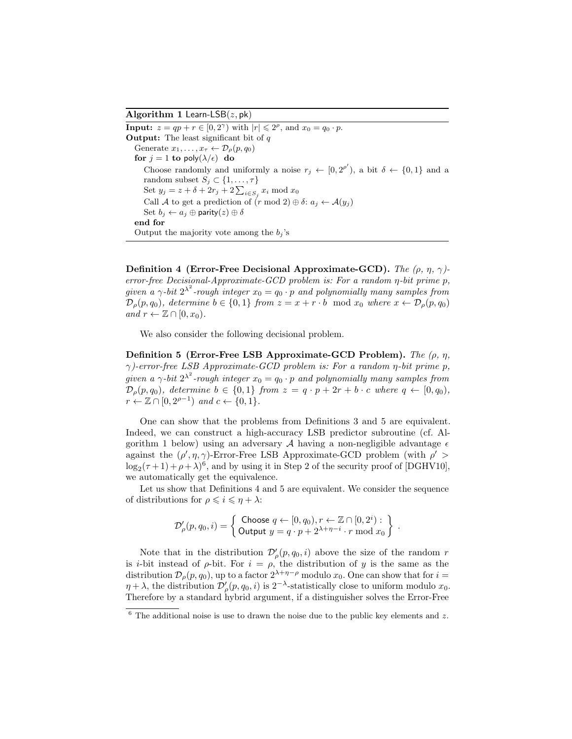Algorithm 1 Learn-LSB $(z, pk)$ 

**Input:**  $z = qp + r \in [0, 2^{\gamma})$  with  $|r| \leq 2^{\rho}$ , and  $x_0 = q_0 \cdot p$ . **Output:** The least significant bit of  $q$ Generate  $x_1, \ldots, x_{\tau} \leftarrow \mathcal{D}_{\rho}(p, q_0)$ for  $j = 1$  to poly( $\lambda/\epsilon$ ) do Choose randomly and uniformly a noise  $r_j \leftarrow [0, 2^{\rho'}),$  a bit  $\delta \leftarrow \{0, 1\}$  and a random subset  $S_j \subset \{1, \ldots, \tau\}$ Set  $y_j = z + \delta + 2r_j + 2\sum_{i \in S_j} x_i \bmod x_0$ Call A to get a prediction of  $(r \mod 2) \oplus \delta: a_j \leftarrow \mathcal{A}(y_j)$ Set  $b_j \leftarrow a_j \oplus$  parity $(z) \oplus \delta$ end for Output the majority vote among the  $b_j$ 's

Definition 4 (Error-Free Decisional Approximate-GCD). The  $(\rho, \eta, \gamma)$ error-free Decisional-Approximate-GCD problem is: For a random  $\eta$ -bit prime p, given a  $\gamma$ -bit  $2^{\lambda^2}$ -rough integer  $x_0 = q_0 \cdot p$  and polynomially many samples from  $\mathcal{D}_{\rho}(p,q_0)$ , determine  $b \in \{0,1\}$  from  $z = x + r \cdot b \mod x_0$  where  $x \leftarrow \mathcal{D}_{\rho}(p,q_0)$ and  $r \leftarrow \mathbb{Z} \cap [0, x_0)$ .

We also consider the following decisional problem.

Definition 5 (Error-Free LSB Approximate-GCD Problem). The  $(\rho, \eta, \eta)$  $\gamma$ )-error-free LSB Approximate-GCD problem is: For a random  $\eta$ -bit prime p, given a  $\gamma$ -bit  $2^{\lambda^2}$ -rough integer  $x_0 = q_0 \cdot p$  and polynomially many samples from  $\mathcal{D}_{\rho}(p,q_0)$ , determine  $b \in \{0,1\}$  from  $z = q \cdot p + 2r + b \cdot c$  where  $q \leftarrow [0,q_0)$ ,  $r \leftarrow \mathbb{Z} \cap [0, 2^{\rho-1})$  and  $c \leftarrow \{0, 1\}.$ 

One can show that the problems from Definitions 3 and 5 are equivalent. Indeed, we can construct a high-accuracy LSB predictor subroutine (cf. Algorithm 1 below) using an adversary A having a non-negligible advantage  $\epsilon$ against the  $(\rho', \eta, \gamma)$ -Error-Free LSB Approximate-GCD problem (with  $\rho'$ )  $\log_2(\tau+1) + \rho + \lambda$ <sup>6</sup>, and by using it in Step 2 of the security proof of [DGHV10], we automatically get the equivalence.

Let us show that Definitions 4 and 5 are equivalent. We consider the sequence of distributions for  $\rho \leqslant i \leqslant \eta + \lambda$ :

$$
\mathcal{D}'_{\rho}(p,q_0,i) = \left\{ \begin{array}{l} \text{Choose } q \leftarrow [0,q_0), r \leftarrow \mathbb{Z} \cap [0,2^i) : \\ \text{Output } y = q \cdot p + 2^{\lambda + \eta - i} \cdot r \bmod x_0 \end{array} \right\}
$$

.

Note that in the distribution  $\mathcal{D}'_p(p,q_0,i)$  above the size of the random r is *i*-bit instead of  $\rho$ -bit. For  $i = \rho$ , the distribution of y is the same as the distribution  $\mathcal{D}_{\rho}(p,q_0)$ , up to a factor  $2^{\lambda+\eta-\rho}$  modulo  $x_0$ . One can show that for  $i=$  $\eta + \lambda$ , the distribution  $\mathcal{D}'_{\rho}(p, q_0, i)$  is  $2^{-\lambda}$ -statistically close to uniform modulo  $x_0$ . Therefore by a standard hybrid argument, if a distinguisher solves the Error-Free

 $6$  The additional noise is use to drawn the noise due to the public key elements and z.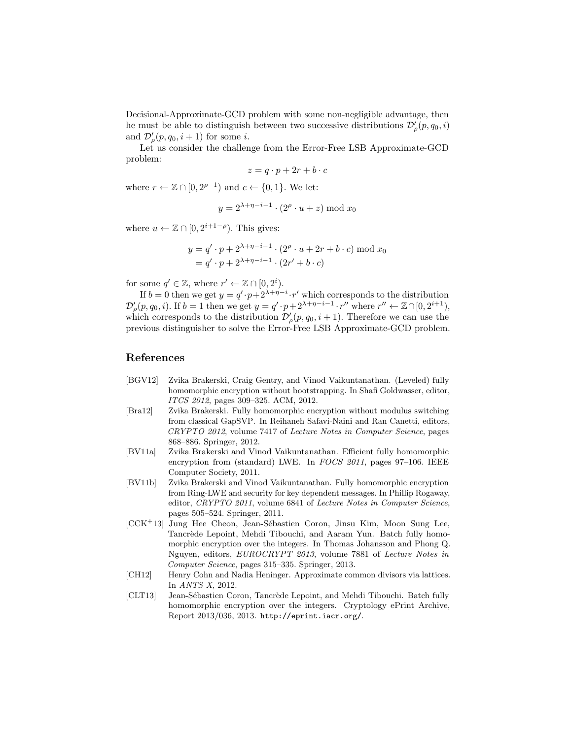Decisional-Approximate-GCD problem with some non-negligible advantage, then he must be able to distinguish between two successive distributions  $\mathcal{D}'_{\rho}(p, q_0, i)$ and  $\mathcal{D}'_{\rho}(p, q_0, i+1)$  for some *i*.

Let us consider the challenge from the Error-Free LSB Approximate-GCD problem:

$$
z = q \cdot p + 2r + b \cdot c
$$

where  $r \leftarrow \mathbb{Z} \cap [0, 2^{\rho-1})$  and  $c \leftarrow \{0, 1\}$ . We let:

$$
y = 2^{\lambda + \eta - i - 1} \cdot (2^{\rho} \cdot u + z) \bmod x_0
$$

where  $u \leftarrow \mathbb{Z} \cap [0, 2^{i+1-\rho})$ . This gives:

$$
y = q' \cdot p + 2^{\lambda + \eta - i - 1} \cdot (2^{\rho} \cdot u + 2r + b \cdot c) \mod x_0
$$
  
= q' \cdot p + 2^{\lambda + \eta - i - 1} \cdot (2r' + b \cdot c)

for some  $q' \in \mathbb{Z}$ , where  $r' \leftarrow \mathbb{Z} \cap [0, 2^i)$ .

If  $b = 0$  then we get  $y = q' \cdot p + 2^{\lambda + \eta - i} \cdot r'$  which corresponds to the distribution  $\mathcal{D}'_p(p,q_0,i)$ . If  $b=1$  then we get  $y=q'\cdot p+2^{\lambda+\eta-i-1}\cdot r''$  where  $r''\leftarrow \mathbb{Z}\cap[0,2^{i+1}),$ which corresponds to the distribution  $\mathcal{D}'_p(p,q_0,i+1)$ . Therefore we can use the previous distinguisher to solve the Error-Free LSB Approximate-GCD problem.

## References

- [BGV12] Zvika Brakerski, Craig Gentry, and Vinod Vaikuntanathan. (Leveled) fully homomorphic encryption without bootstrapping. In Shafi Goldwasser, editor, ITCS 2012, pages 309–325. ACM, 2012.
- [Bra12] Zvika Brakerski. Fully homomorphic encryption without modulus switching from classical GapSVP. In Reihaneh Safavi-Naini and Ran Canetti, editors, CRYPTO 2012, volume 7417 of Lecture Notes in Computer Science, pages 868–886. Springer, 2012.
- [BV11a] Zvika Brakerski and Vinod Vaikuntanathan. Efficient fully homomorphic encryption from (standard) LWE. In FOCS 2011, pages 97-106. IEEE Computer Society, 2011.
- [BV11b] Zvika Brakerski and Vinod Vaikuntanathan. Fully homomorphic encryption from Ring-LWE and security for key dependent messages. In Phillip Rogaway, editor, CRYPTO 2011, volume 6841 of Lecture Notes in Computer Science, pages 505–524. Springer, 2011.
- [CCK<sup>+</sup>13] Jung Hee Cheon, Jean-Sébastien Coron, Jinsu Kim, Moon Sung Lee, Tancrède Lepoint, Mehdi Tibouchi, and Aaram Yun. Batch fully homomorphic encryption over the integers. In Thomas Johansson and Phong Q. Nguyen, editors, EUROCRYPT 2013, volume 7881 of Lecture Notes in Computer Science, pages 315–335. Springer, 2013.
- [CH12] Henry Cohn and Nadia Heninger. Approximate common divisors via lattices. In ANTS X, 2012.
- [CLT13] Jean-Sébastien Coron, Tancrède Lepoint, and Mehdi Tibouchi. Batch fully homomorphic encryption over the integers. Cryptology ePrint Archive, Report 2013/036, 2013. http://eprint.iacr.org/.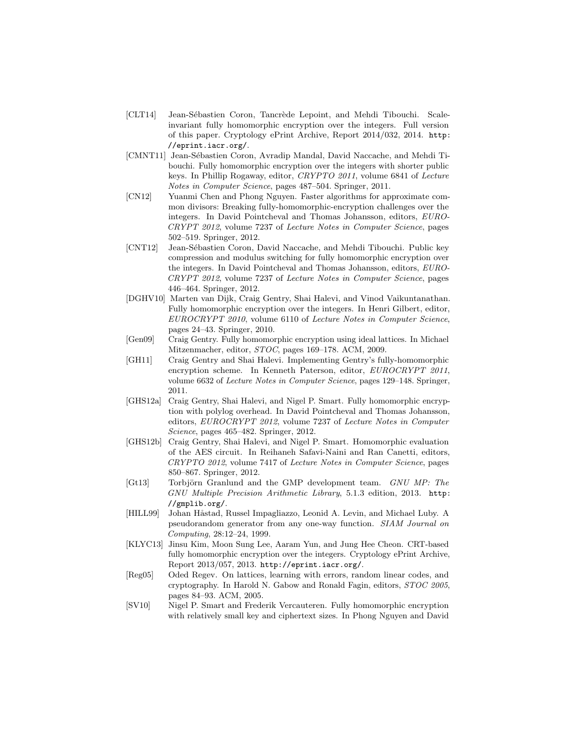- [CLT14] Jean-Sébastien Coron, Tancrède Lepoint, and Mehdi Tibouchi. Scaleinvariant fully homomorphic encryption over the integers. Full version of this paper. Cryptology ePrint Archive, Report 2014/032, 2014. http: //eprint.iacr.org/.
- [CMNT11] Jean-Sébastien Coron, Avradip Mandal, David Naccache, and Mehdi Tibouchi. Fully homomorphic encryption over the integers with shorter public keys. In Phillip Rogaway, editor, CRYPTO 2011, volume 6841 of Lecture Notes in Computer Science, pages 487–504. Springer, 2011.
- [CN12] Yuanmi Chen and Phong Nguyen. Faster algorithms for approximate common divisors: Breaking fully-homomorphic-encryption challenges over the integers. In David Pointcheval and Thomas Johansson, editors, EURO-CRYPT 2012, volume 7237 of Lecture Notes in Computer Science, pages 502–519. Springer, 2012.
- [CNT12] Jean-Sébastien Coron, David Naccache, and Mehdi Tibouchi. Public key compression and modulus switching for fully homomorphic encryption over the integers. In David Pointcheval and Thomas Johansson, editors, EURO-CRYPT 2012, volume 7237 of Lecture Notes in Computer Science, pages 446–464. Springer, 2012.
- [DGHV10] Marten van Dijk, Craig Gentry, Shai Halevi, and Vinod Vaikuntanathan. Fully homomorphic encryption over the integers. In Henri Gilbert, editor, EUROCRYPT 2010, volume 6110 of Lecture Notes in Computer Science, pages 24–43. Springer, 2010.
- [Gen09] Craig Gentry. Fully homomorphic encryption using ideal lattices. In Michael Mitzenmacher, editor, STOC, pages 169–178. ACM, 2009.
- [GH11] Craig Gentry and Shai Halevi. Implementing Gentry's fully-homomorphic encryption scheme. In Kenneth Paterson, editor, EUROCRYPT 2011, volume 6632 of Lecture Notes in Computer Science, pages 129–148. Springer, 2011.
- [GHS12a] Craig Gentry, Shai Halevi, and Nigel P. Smart. Fully homomorphic encryption with polylog overhead. In David Pointcheval and Thomas Johansson, editors, EUROCRYPT 2012, volume 7237 of Lecture Notes in Computer Science, pages 465–482. Springer, 2012.
- [GHS12b] Craig Gentry, Shai Halevi, and Nigel P. Smart. Homomorphic evaluation of the AES circuit. In Reihaneh Safavi-Naini and Ran Canetti, editors, CRYPTO 2012, volume 7417 of Lecture Notes in Computer Science, pages 850–867. Springer, 2012.
- [Gt13] Torbjörn Granlund and the GMP development team. GNU MP: The GNU Multiple Precision Arithmetic Library, 5.1.3 edition, 2013. http: //gmplib.org/.
- [HILL99] Johan Håstad, Russel Impagliazzo, Leonid A. Levin, and Michael Luby. A pseudorandom generator from any one-way function. SIAM Journal on Computing, 28:12–24, 1999.
- [KLYC13] Jinsu Kim, Moon Sung Lee, Aaram Yun, and Jung Hee Cheon. CRT-based fully homomorphic encryption over the integers. Cryptology ePrint Archive, Report 2013/057, 2013. http://eprint.iacr.org/.
- [Reg05] Oded Regev. On lattices, learning with errors, random linear codes, and cryptography. In Harold N. Gabow and Ronald Fagin, editors, STOC 2005, pages 84–93. ACM, 2005.
- [SV10] Nigel P. Smart and Frederik Vercauteren. Fully homomorphic encryption with relatively small key and ciphertext sizes. In Phong Nguyen and David